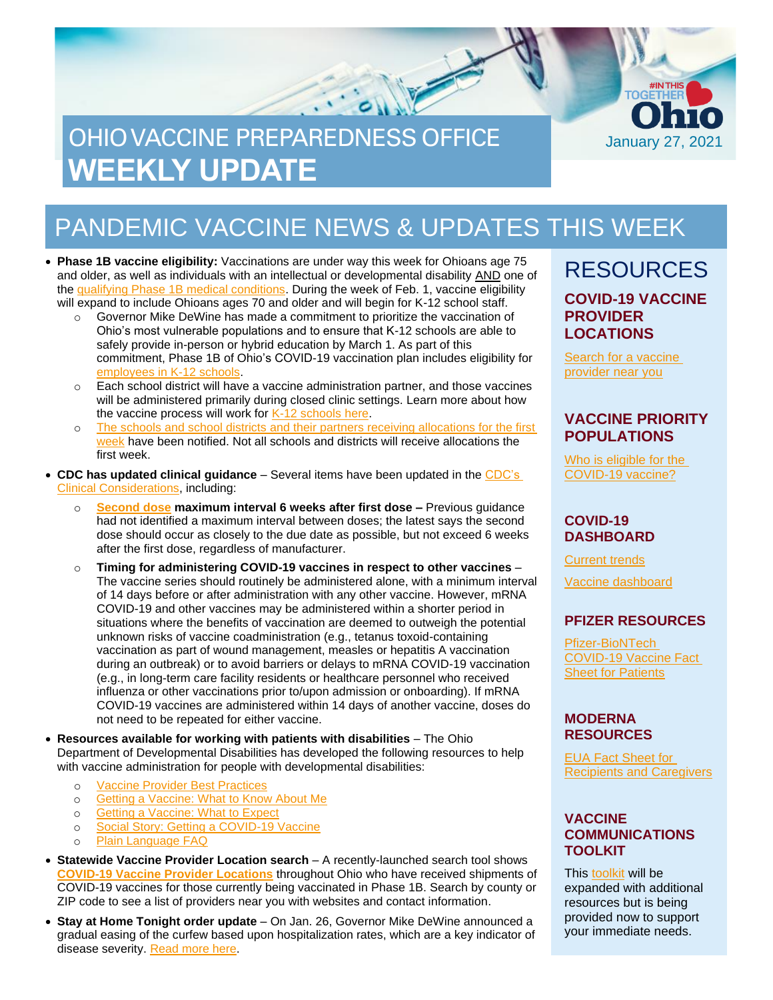# OHIO VACCINE PREPAREDNESS OFFICE **WEEKLY UPDATE**



• **Phase 1B vaccine eligibility:** Vaccinations are under way this week for Ohioans age 75 and older, as well as individuals with an intellectual or developmental disability AND one of the [qualifying Phase 1B medical conditions.](https://coronavirus.ohio.gov/static/vaccine/phase_1b_medical_conditions.jpg) During the week of Feb. 1, vaccine eligibility will expand to include Ohioans ages 70 and older and will begin for K-12 school staff.

- $\circ$  Governor Mike DeWine has made a commitment to prioritize the vaccination of Ohio's most vulnerable populations and to ensure that K-12 schools are able to safely provide in-person or hybrid education by March 1. As part of this commitment, Phase 1B of Ohio's COVID-19 vaccination plan includes eligibility for [employees in K-12 schools.](https://coronavirus.ohio.gov/static/vaccine/K12_school_vaccination_fact_sheet.pdf)
- $\circ$  Each school district will have a vaccine administration partner, and those vaccines will be administered primarily during closed clinic settings. Learn more about how the vaccine process will work for [K-12 schools here.](https://coronavirus.ohio.gov/static/vaccine/K12_school_vaccination_fact_sheet.pdf)
- o The schools and school districts and their partners receiving allocations for the first [week](https://coronavirus.ohio.gov/static/vaccine/K12_school_vaccination_week_1.pdf) have been notified. Not all schools and districts will receive allocations the first week.
- **CDC has updated clinical guidance**  Several items have been updated in the [CDC's](http://www.cdc.gov/vaccines/covid-19/info-by-product/clinical-considerations.html)  [Clinical Considerations,](http://www.cdc.gov/vaccines/covid-19/info-by-product/clinical-considerations.html) including:
	- o **[Second dose](https://odh.ohio.gov/static/covid19/vaccine-providers/guidance-for-providers-on-covid-19-vaccine-second-doses.pdf) maximum interval 6 weeks after first dose –** Previous guidance had not identified a maximum interval between doses; the latest says the second dose should occur as closely to the due date as possible, but not exceed 6 weeks after the first dose, regardless of manufacturer.
	- o **Timing for administering COVID-19 vaccines in respect to other vaccines** The vaccine series should routinely be administered alone, with a minimum interval of 14 days before or after administration with any other vaccine. However, mRNA COVID-19 and other vaccines may be administered within a shorter period in situations where the benefits of vaccination are deemed to outweigh the potential unknown risks of vaccine coadministration (e.g., tetanus toxoid-containing vaccination as part of wound management, measles or hepatitis A vaccination during an outbreak) or to avoid barriers or delays to mRNA COVID-19 vaccination (e.g., in long-term care facility residents or healthcare personnel who received influenza or other vaccinations prior to/upon admission or onboarding). If mRNA COVID-19 vaccines are administered within 14 days of another vaccine, doses do not need to be repeated for either vaccine.
- **Resources available for working with patients with disabilities** The Ohio Department of Developmental Disabilities has developed the following resources to help with vaccine administration for people with developmental disabilities:
	- o [Vaccine Provider Best Practices](https://odh.ohio.gov/static/covid19/vaccine-providers/dodd_provider_best_practices.pdf)
	- o [Getting a Vaccine: What](https://coronavirus.ohio.gov/static/vaccine/getting_a_vaccine_about_me.pdf) to Know About Me
	- o [Getting a Vaccine: What to Expect](https://coronavirus.ohio.gov/static/vaccine/getting_a_vaccine_what_to_expect.pdf)
	- o [Social Story: Getting a COVID-19 Vaccine](https://coronavirus.ohio.gov/static/vaccine/getting_a_vaccine_social_story.pdf)
	- o [Plain Language FAQ](https://coronavirus.ohio.gov/static/vaccine/plain_language_faq.pdf)
- **Statewide Vaccine Provider Location search**  A recently-launched search tool shows **[COVID-19 Vaccine Provider Locations](https://vaccine.coronavirus.ohio.gov/)** throughout Ohio who have received shipments of COVID-19 vaccines for those currently being vaccinated in Phase 1B. Search by county or ZIP code to see a list of providers near you with websites and contact information.
- **Stay at Home Tonight order update**  On Jan. 26, Governor Mike DeWine announced a gradual easing of the curfew based upon hospitalization rates, which are a key indicator of disease severity[. Read more here.](https://coronavirus.ohio.gov/wps/portal/gov/covid-19/resources/general-resources/stay-at-home-tonight-fact-sheet)

### RESOURCES **COVID-19 VACCINE PROVIDER LOCATIONS**

January 27, 2021

**TOGËTHE** 

[Search for a vaccine](https://vaccine.coronavirus.ohio.gov/)  [provider near you](https://vaccine.coronavirus.ohio.gov/)

### **VACCINE PRIORITY POPULATIONS**

[Who is eligible for the](https://coronavirus.ohio.gov/static/vaccine/general_fact_sheet.pdf)  [COVID-19 vaccine?](https://coronavirus.ohio.gov/static/vaccine/general_fact_sheet.pdf)

#### **COVID-19 DASHBOARD**

[Current trends](https://coronavirus.ohio.gov/wps/portal/gov/covid-19/dashboards/current-trends)

[Vaccine dashboard](https://coronavirus.ohio.gov/wps/portal/gov/covid-19/dashboards/covid-19-vaccine/covid-19-vaccination-dashboard)

#### **PFIZER RESOURCES**

[Pfizer-BioNTech](https://odh.ohio.gov/wps/portal/gov/odh/know-our-programs/covid-19-vaccine-provider/manufacturer-specific-information/manufacturer-specific-information/!ut/p/z1/jZDdCoJAEEafxQdYZo1c8tKExJ81IkXbm1g2tYVcZVMvevrMO6HSuZvhHJjvAwY5MMUHWfFONoo_xv3CyDW2Pcc0Qxx7JLLx6UiTwMTUxy6BbA7sEssZAZJ64eHsJ1sL2Bof_xgHL_nBEjAm2Gjq0gpYy7s7kqpsIBfNIG_ItNHAhZCqQK3-XAoNec1VX3LR9brQ6NkWQpZSTJqup1rWIBmw-WNfipmAP8nbOs1f0d72K8N4A42Ic8o!/%C2%A0https:/www.fda.gov/media/144414/download)  [COVID-19 Vaccine Fact](https://odh.ohio.gov/wps/portal/gov/odh/know-our-programs/covid-19-vaccine-provider/manufacturer-specific-information/manufacturer-specific-information/!ut/p/z1/jZDdCoJAEEafxQdYZo1c8tKExJ81IkXbm1g2tYVcZVMvevrMO6HSuZvhHJjvAwY5MMUHWfFONoo_xv3CyDW2Pcc0Qxx7JLLx6UiTwMTUxy6BbA7sEssZAZJ64eHsJ1sL2Bof_xgHL_nBEjAm2Gjq0gpYy7s7kqpsIBfNIG_ItNHAhZCqQK3-XAoNec1VX3LR9brQ6NkWQpZSTJqup1rWIBmw-WNfipmAP8nbOs1f0d72K8N4A42Ic8o!/%C2%A0https:/www.fda.gov/media/144414/download)  [Sheet for Patients](https://odh.ohio.gov/wps/portal/gov/odh/know-our-programs/covid-19-vaccine-provider/manufacturer-specific-information/manufacturer-specific-information/!ut/p/z1/jZDdCoJAEEafxQdYZo1c8tKExJ81IkXbm1g2tYVcZVMvevrMO6HSuZvhHJjvAwY5MMUHWfFONoo_xv3CyDW2Pcc0Qxx7JLLx6UiTwMTUxy6BbA7sEssZAZJ64eHsJ1sL2Bof_xgHL_nBEjAm2Gjq0gpYy7s7kqpsIBfNIG_ItNHAhZCqQK3-XAoNec1VX3LR9brQ6NkWQpZSTJqup1rWIBmw-WNfipmAP8nbOs1f0d72K8N4A42Ic8o!/%C2%A0https:/www.fda.gov/media/144414/download)

#### **MODERNA RESOURCES**

[EUA Fact Sheet for](https://www.modernatx.com/covid19vaccine-eua/eua-fact-sheet-recipients.pdf)  [Recipients and Caregivers](https://www.modernatx.com/covid19vaccine-eua/eua-fact-sheet-recipients.pdf)

#### **VACCINE COMMUNICATIONS TOOLKIT**

This [toolkit](https://odh.ohio.gov/static/covid19/vaccine-providers/communications_toolkit.pdf) will be expanded with additional resources but is being provided now to support your immediate needs.